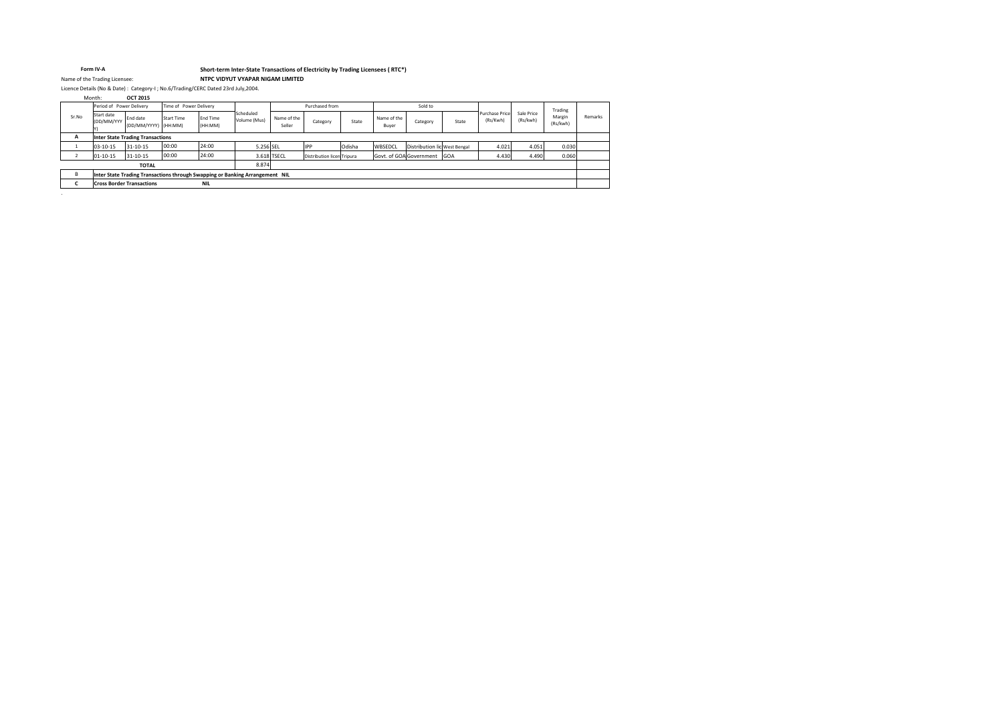**OCT 2015** Month:

| Remarks<br><b>Contract Contract</b> |  |
|-------------------------------------|--|
|                                     |  |
|                                     |  |
|                                     |  |
|                                     |  |
|                                     |  |
|                                     |  |

#### **Form IV-A**

Licence Details (No & Date) : Category-I ; No.6/Trading/CERC Dated 23rd July,2004.

|                                                | Period of Power Delivery                                                     |                                  |                   | Time of Power Delivery     |                           |                       | Purchased from             |        |                      | Sold to                      |       |                                   |                        | Trading            |         |
|------------------------------------------------|------------------------------------------------------------------------------|----------------------------------|-------------------|----------------------------|---------------------------|-----------------------|----------------------------|--------|----------------------|------------------------------|-------|-----------------------------------|------------------------|--------------------|---------|
| Sr.No                                          | Start date<br>(DD/MM/YYY                                                     | End date<br>(DD/MM/YYYY) (HH:MM) | <b>Start Time</b> | <b>End Time</b><br>(HH:MM) | Scheduled<br>Volume (Mus) | Name of the<br>Seller | Category                   | State  | Name of the<br>Buyer | Category                     | State | <b>Purchase Price</b><br>(Rs/Kwh) | Sale Price<br>(Rs/kwh) | Margin<br>(Rs/kwh) | Remarks |
| $\mathbf{A}$                                   | <b>Inter State Trading Transactions</b>                                      |                                  |                   |                            |                           |                       |                            |        |                      |                              |       |                                   |                        |                    |         |
|                                                | $03-10-15$                                                                   | 31-10-15                         | 00:00             | 24:00                      | 5.256 SEL                 |                       | <b>IPP</b>                 | Odisha | WBSEDCL              | Distribution lic West Bengal |       | 4.021                             | 4.051                  | 0.030              |         |
|                                                | $01 - 10 - 15$                                                               | 31-10-15                         | 00:00             | 24:00                      |                           | 3.618 TSECL           | Distribution licen Tripura |        |                      | Govt. of GOA Government GOA  |       | 4.430                             | 4.490                  | 0.060              |         |
|                                                |                                                                              | <b>TOTAL</b>                     |                   |                            | 8.874                     |                       |                            |        |                      |                              |       |                                   |                        |                    |         |
| B                                              | Inter State Trading Transactions through Swapping or Banking Arrangement NIL |                                  |                   |                            |                           |                       |                            |        |                      |                              |       |                                   |                        |                    |         |
| <b>NIL</b><br><b>Cross Border Transactions</b> |                                                                              |                                  |                   |                            |                           |                       |                            |        |                      |                              |       |                                   |                        |                    |         |

.

# **Short-term Inter-State Transactions of Electricity by Trading Licensees ( RTC\*)** Name of the Trading Licensee: **NTPC VIDYUT VYAPAR NIGAM LIMITED**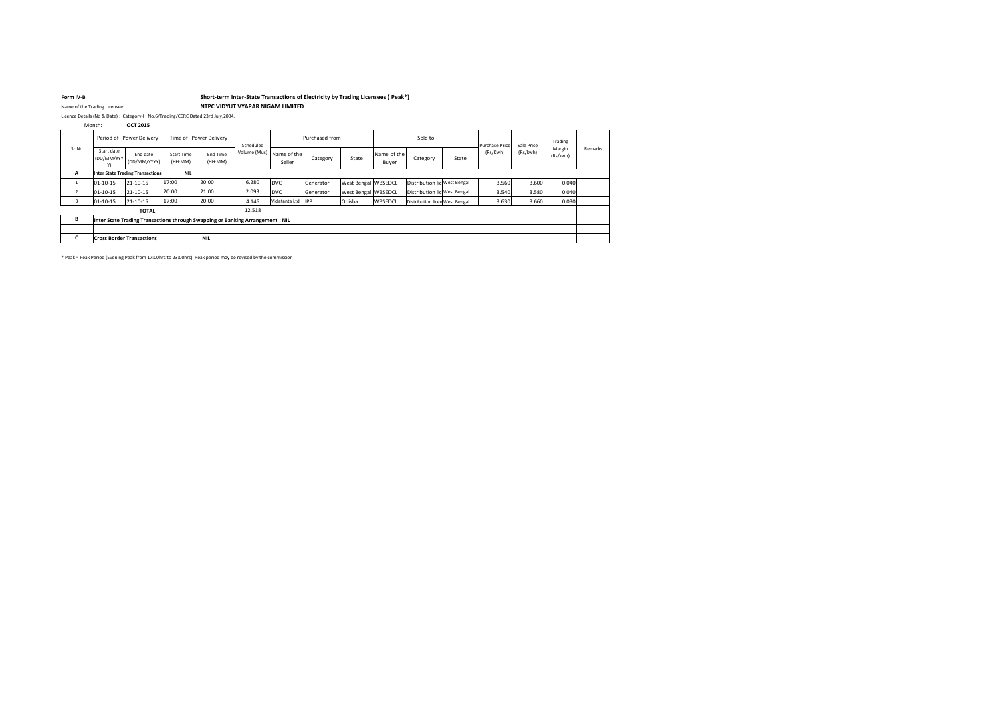| Sr.No          |                                                       | Period of Power Delivery                                                       |                              | Time of Power Delivery |              |                       | Purchased from |                            |                      | Sold to                        |       | <b>Purchase Price</b> | Sale Price | Trading            |
|----------------|-------------------------------------------------------|--------------------------------------------------------------------------------|------------------------------|------------------------|--------------|-----------------------|----------------|----------------------------|----------------------|--------------------------------|-------|-----------------------|------------|--------------------|
|                | Start date<br>(DD/MM/YYY)<br>Y)                       | End date<br>(DD/MM/YYYY)                                                       | <b>Start Time</b><br>(HH:MM) | End Time<br>(HH:MM)    | Volume (Mus) | Name of the<br>Seller | Category       | State                      | Name of the<br>Buyer | Category                       | State | (Rs/Kwh)              | (Rs/kwh)   | Margin<br>(Rs/kwh) |
| A              | <b>Inter State Trading Transactions</b><br><b>NIL</b> |                                                                                |                              |                        |              |                       |                |                            |                      |                                |       |                       |            |                    |
|                | $01 - 10 - 15$                                        | 21-10-15                                                                       | 17:00                        | 20:00                  | 6.280        | <b>DVC</b>            | Generator      | <b>West Bengal WBSEDCL</b> |                      | Distribution lic West Bengal   |       | 3.560                 | 3.600      | 0.040              |
| $\overline{2}$ | $01 - 10 - 15$                                        | 21-10-15                                                                       | 20:00                        | 21:00                  | 2.093        | <b>DVC</b>            | Generator      | <b>West Bengal WBSEDCL</b> |                      | Distribution lic West Bengal   |       | 3.540                 | 3.580      | 0.040              |
|                | $01 - 10 - 15$                                        | 21-10-15                                                                       | 17:00                        | 20:00                  | 4.145        | Vidatanta Ltd IPP     |                | Odisha                     | <b>WBSEDCL</b>       | Distribution licen West Bengal |       | 3.630                 | 3.660      | 0.030              |
|                |                                                       | <b>TOTAL</b>                                                                   |                              |                        | 12.518       |                       |                |                            |                      |                                |       |                       |            |                    |
| B              |                                                       | Inter State Trading Transactions through Swapping or Banking Arrangement : NIL |                              |                        |              |                       |                |                            |                      |                                |       |                       |            |                    |
|                |                                                       |                                                                                |                              |                        |              |                       |                |                            |                      |                                |       |                       |            |                    |
| Ċ              |                                                       | <b>Cross Border Transactions</b>                                               |                              | <b>NIL</b>             |              |                       |                |                            |                      |                                |       |                       |            |                    |

\* Peak = Peak Period (Evening Peak from 17:00hrs to 23:00hrs). Peak period may be revised by the commission



### **Form IV-B Short-term Inter-State Transactions of Electricity by Trading Licensees ( Peak\*)** Name of the Trading Licensee: **NTPC VIDYUT VYAPAR NIGAM LIMITED**

Licence Details (No & Date) : Category-I ; No.6/Trading/CERC Dated 23rd July,2004.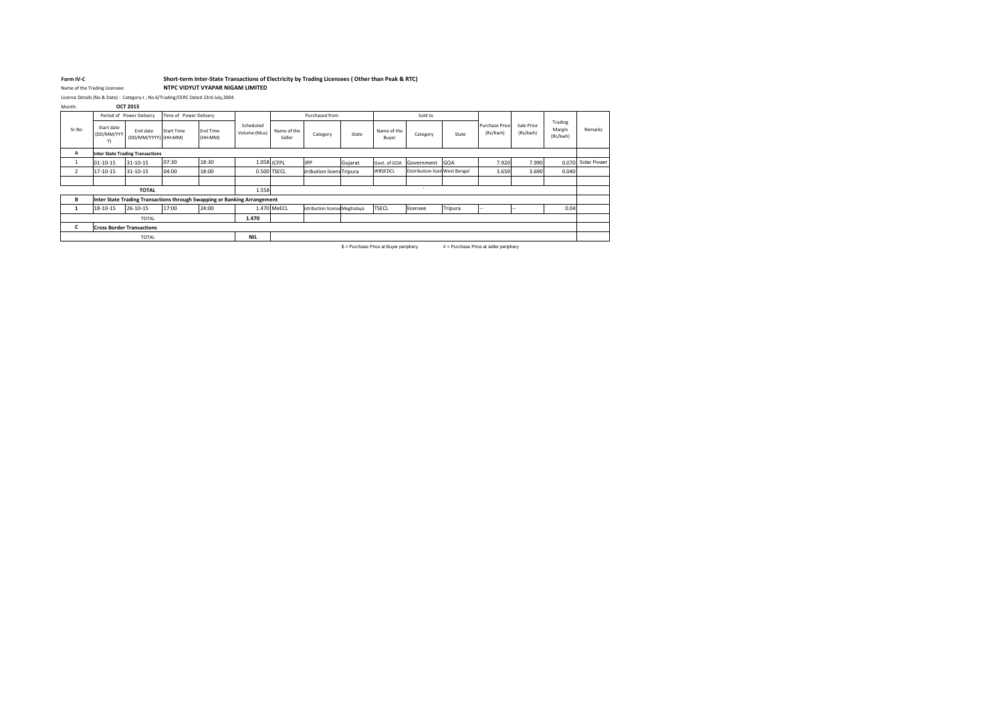# **Form IV-C Short-term Inter-State Transactions of Electricity by Trading Licensees ( Other than Peak & RTC)**

Name of the Trading Licensee: **NTPC VIDYUT VYAPAR NIGAM LIMITED**

Month: **OCT 2015**

|                |                                  | Period of Power Delivery                                                 | Time of Power Delivery |                            |                           |                       | Purchased from                |         |                                                                                              | Sold to                        |                                                                        |                                   |                        |                               |                   |
|----------------|----------------------------------|--------------------------------------------------------------------------|------------------------|----------------------------|---------------------------|-----------------------|-------------------------------|---------|----------------------------------------------------------------------------------------------|--------------------------------|------------------------------------------------------------------------|-----------------------------------|------------------------|-------------------------------|-------------------|
| Sr.No          | Start date<br>(DD/MM/YYY)<br>Y)  | End date<br>(DD/MM/YYYY) (HH:MM)                                         | <b>Start Time</b>      | <b>End Time</b><br>(HH:MM) | Scheduled<br>Volume (Mus) | Name of the<br>Seller | Category                      | State   | Name of the<br>Buyer                                                                         | Category                       | State                                                                  | <b>Purchase Price</b><br>(Rs/Kwh) | Sale Price<br>(Rs/kwh) | Trading<br>Margin<br>(Rs/kwh) | Remarks           |
| Α              |                                  | <b>Inter State Trading Transactions</b>                                  |                        |                            |                           |                       |                               |         |                                                                                              |                                |                                                                        |                                   |                        |                               |                   |
|                | $01 - 10 - 15$                   | 31-10-15                                                                 | 07:30                  | 18:30                      |                           | 1.058 JCFPL           | <b>IPP</b>                    | Gujarat | Govt. of GOA                                                                                 | Government                     | <b>GOA</b>                                                             | 7.920                             | 7.990                  |                               | 0.070 Solar Power |
| $\overline{2}$ | 17-10-15                         | 31-10-15                                                                 | 04:00                  | 18:00                      |                           | 0.500 TSECL           | stribution licens Tripura     |         | WBSEDCL                                                                                      | Distribution licen West Bengal |                                                                        | 3.650                             | 3.690                  | 0.040                         |                   |
|                |                                  |                                                                          |                        |                            |                           |                       |                               |         |                                                                                              |                                |                                                                        |                                   |                        |                               |                   |
|                |                                  | <b>TOTAL</b>                                                             |                        |                            | 1.558                     |                       |                               |         |                                                                                              |                                |                                                                        |                                   |                        |                               |                   |
| В              |                                  | Inter State Trading Transactions through Swapping or Banking Arrangement |                        |                            |                           |                       |                               |         |                                                                                              |                                |                                                                        |                                   |                        |                               |                   |
|                | 18-10-15                         | 26-10-15                                                                 | 17:00                  | 24:00                      |                           | 1.470 MeECL           | istribution license Meghalaya |         | <b>TSECL</b>                                                                                 | licensee                       | Tripura                                                                | --                                |                        | 0.04                          |                   |
|                |                                  | <b>TOTAL</b>                                                             |                        |                            | 1.470                     |                       |                               |         |                                                                                              |                                |                                                                        |                                   |                        |                               |                   |
| C              | <b>Cross Border Transactions</b> |                                                                          |                        |                            |                           |                       |                               |         |                                                                                              |                                |                                                                        |                                   |                        |                               |                   |
|                | <b>NIL</b><br><b>TOTAL</b>       |                                                                          |                        |                            |                           |                       |                               |         |                                                                                              |                                |                                                                        |                                   |                        |                               |                   |
|                |                                  |                                                                          |                        |                            |                           |                       |                               |         | $\phi$ . By a linear Belgian and Belgian and a linear particle of the second state of $\phi$ |                                | <b><i>R</i> B</b> and a set <b>B</b> Association of the set of the set |                                   |                        |                               |                   |

 $$ =$  Purchase Price at Buyer periphery  $$ #$  = Purchase Price at seller periphery



Licence Details (No & Date) : Category-I ; No.6/Trading/CERC Dated 23rd July,2004.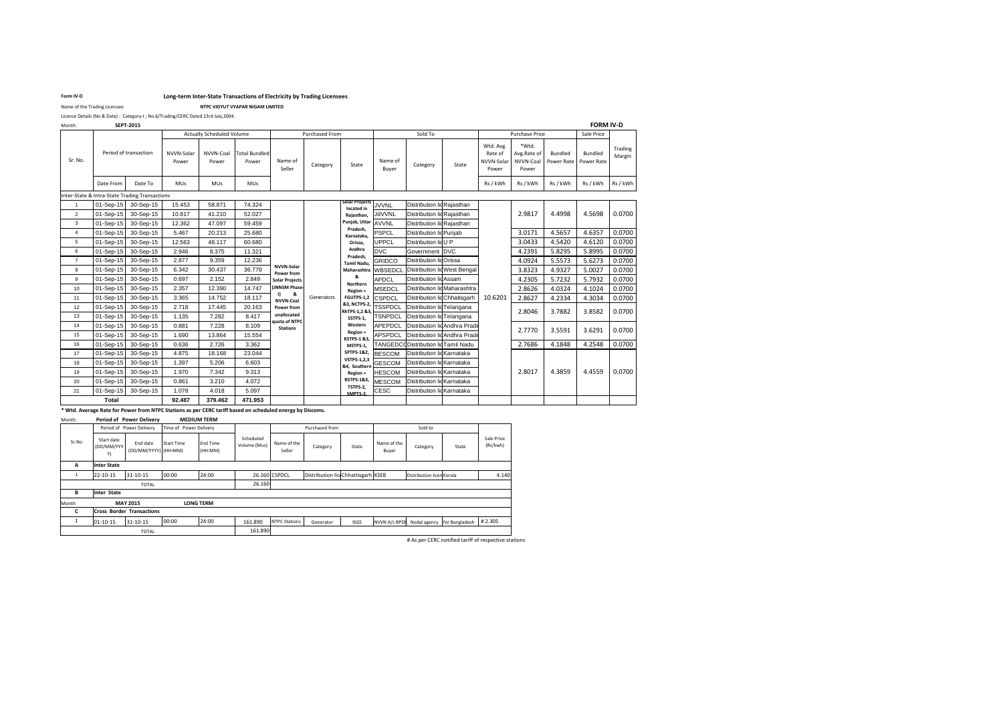#### **Form IV-D Long-term Inter-State Transactions of Electricity by Trading Licensees**

Name of the Trading Licensee: **NTPC VIDYUT VYAPAR NIGAM LIMITED** 

| <b>SEPT-2015</b><br>Month: |
|----------------------------|
|----------------------------|

|       | <b>SEPT-2015</b>        |                     |                                  |                               |                                 |                |                                           |                  |                                    |       |                                             |                                            |                              | <b>FORM IV-D</b>             |                   |
|-------|-------------------------|---------------------|----------------------------------|-------------------------------|---------------------------------|----------------|-------------------------------------------|------------------|------------------------------------|-------|---------------------------------------------|--------------------------------------------|------------------------------|------------------------------|-------------------|
|       |                         |                     | <b>Actually Scheduled Volume</b> |                               |                                 | Purchased From |                                           |                  | Sold To                            |       |                                             | Purchase Price                             |                              | Sale Price                   |                   |
|       | d of transaction        | NVVN-Solar<br>Power | NVVN-Coal<br>Power               | <b>Total Bundled</b><br>Power | Name of<br>Seller               | Category       | State                                     | Name of<br>Buyer | Category                           | State | Wtd. Avg.<br>Rate of<br>NVVN-Solar<br>Power | *Wtd.<br>Avg.Rate of<br>NVVN-Coal<br>Power | <b>Bundled</b><br>Power Rate | <b>Bundled</b><br>Power Rate | Trading<br>Margin |
| оm    | Date To                 | <b>MUs</b>          | <b>MUs</b>                       | <b>MUs</b>                    |                                 |                |                                           |                  |                                    |       | Rs / kWh                                    | Rs / kWh                                   | Rs / kWh                     | Rs / kWh                     | Rs / kWh          |
|       | te Trading Transactions |                     |                                  |                               |                                 |                |                                           |                  |                                    |       |                                             |                                            |                              |                              |                   |
| -15 l | 30-Sep-15               | 15.453              | 58.871                           | 74.324                        |                                 |                | Solar Projects<br>located in              | <b>JVVNL</b>     | Distribution lid Rajasthan         |       |                                             |                                            |                              |                              |                   |
| $-15$ | 30-Sep-15               | 10.817              | 41.210                           | 52.027                        |                                 |                | Rajasthan,                                | <b>JdVVNL</b>    | Distribution lid Rajasthan         |       |                                             | 2.9817                                     | 4.4998                       | 4.5698                       | 0.0700            |
| $-15$ | 30-Sep-15               | 12.362              | 47.097                           | 59.459                        |                                 |                | Punjab, Uttar<br>Pradesh,                 | <b>AVVNL</b>     | Distribution lid Rajasthan         |       |                                             |                                            |                              |                              |                   |
| -15   | 30-Sep-15               | 5.467               | 20.213                           | 25.680                        |                                 |                | Karnataka,                                | <b>PSPCL</b>     | Distribution lid Punjab            |       |                                             | 3.0171                                     | 4.5657                       | 4.6357                       | 0.0700            |
| -15   | 30-Sep-15               | 12.563              | 48.117                           | 60.680                        |                                 |                | Orissa,                                   | <b>UPPCL</b>     | Distribution lid U P               |       |                                             | 3.0433                                     | 4.5420                       | 4.6120                       | 0.0700            |
| -15   | 30-Sep-15               | 2.946               | 8.375                            | 11.321                        |                                 |                | Andhra<br>Pradesh,                        | <b>DVC</b>       | Government DVC                     |       |                                             | 4.2391                                     | 5.8295                       | 5.8995                       | 0.0700            |
| $-15$ | 30-Sep-15               | 2.877               | 9.359                            | 12.236                        |                                 |                | Tamil Nadu,                               | <b>GRIDCO</b>    | Distribution lid Orissa            |       |                                             | 4.0924                                     | 5.5573                       | 5.6273                       | 0.0700            |
| $-15$ | 30-Sep-15               | 6.342               | 30.437                           | 36.779                        | <b>NVVN-Solar</b><br>Power from |                | Maharashtra                               | <b>WBSEDCL</b>   | Distribution lid West Bengal       |       |                                             | 3.8323                                     | 4.9327                       | 5.0027                       | 0.0700            |
| $-15$ | 30-Sep-15               | 0.697               | 2.152                            | 2.849                         | <b>Solar Projects</b>           |                | &<br><b>Northern</b>                      | <b>APDCL</b>     | Distribution lid Assam             |       |                                             | 4.2305                                     | 5.7232                       | 5.7932                       | 0.0700            |
| $-15$ | 30-Sep-15               | 2.357               | 12.390                           | 14.747                        | (JNNSM Phase-                   |                | Region =                                  | <b>MSEDCL</b>    | Distribution lid Maharashtra       |       |                                             | 2.8626                                     | 4.0324                       | 4.1024                       | 0.0700            |
| $-15$ | 30-Sep-15               | 3.365               | 14.752                           | 18.117                        | I)<br>&<br><b>NVVN-Coal</b>     | Generators     | FGUTPS-1,2                                | <b>CSPDCL</b>    | Distribution lidChhatisgarh        |       | 10.6201                                     | 2.8627                                     | 4.2334                       | 4.3034                       | 0.0700            |
| $-15$ | 30-Sep-15               | 2.718               | 17.445                           | 20.163                        | Power from                      |                | <b>&amp;3, NCTPS-2,</b><br>RhTPS-1,2 &3,  | <b>TSSPDCL</b>   | Distribution lid Telangana         |       |                                             | 2.8046                                     | 3.7882                       | 3.8582                       | 0.0700            |
| $-15$ | 30-Sep-15               | 1.135               | 7.282                            | 8.417                         | unallocated<br>quota of NTPC    |                | SSTPS-1,                                  | TSNPDCL          | Distribution lidTelangana          |       |                                             |                                            |                              |                              |                   |
| -15   | 30-Sep-15               | 0.881               | 7.228                            | 8.109                         | <b>Stations</b>                 |                | Western                                   | <b>APEPDCL</b>   | Distribution lid Andhra Prade      |       |                                             | 2.7770                                     | 3.5591                       | 3.6291                       | 0.0700            |
| $-15$ | 30-Sep-15               | 1.690               | 13.864                           | 15.554                        |                                 |                | <b>Region =</b><br><b>KSTPS-1 &amp;3,</b> | <b>APSPDCL</b>   | Distribution lid Andhra Prade      |       |                                             |                                            |                              |                              |                   |
| -15   | 30-Sep-15               | 0.636               | 2.726                            | 3.362                         |                                 |                | MSTPS-1,                                  |                  | TANGEDCODistribution lidTamil Nadu |       |                                             | 2.7686                                     | 4.1848                       | 4.2548                       | 0.0700            |
| -15   | 30-Sep-15               | 4.875               | 18.168                           | 23.044                        |                                 |                | <b>SPTPS-1&amp;2,</b>                     | <b>BESCOM</b>    | Distribution lid Karnataka         |       |                                             |                                            |                              |                              |                   |
| -15   | 30-Sep-15               | 1.397               | 5.206                            | 6.603                         |                                 |                | <b>VSTPS-1,2,3</b><br>&4, Southern        | <b>GESCOM</b>    | Distribution lid Karnataka         |       |                                             |                                            |                              |                              |                   |
| $-15$ | 30-Sep-15               | 1.970               | 7.342                            | 9.313                         |                                 |                | Region =                                  | <b>HESCOM</b>    | Distribution lid Karnataka         |       |                                             | 2.8017                                     | 4.3859                       | 4.4559                       | 0.0700            |
| $-15$ | 30-Sep-15               | 0.861               | 3.210                            | 4.072                         |                                 |                | <b>RSTPS-1&amp;3,</b>                     | <b>MESCOM</b>    | Distribution lic Karnataka         |       |                                             |                                            |                              |                              |                   |
| $-15$ | 30-Sep-15               | 1.078               | 4.018                            | 5.097                         |                                 |                | TSTPS-2,<br>SMPTS-2                       | CESC             | Distribution lic Karnataka         |       |                                             |                                            |                              |                              |                   |
| ıl    |                         | 92.487              | 379.462                          | 471.953                       |                                 |                |                                           |                  |                                    |       |                                             |                                            |                              |                              |                   |

|                 |              |                                                |                     | <b>Actually Scheduled Volume</b> |                        |                                 | Purchased From |                                          |                  | Sold To                            |                               |                                             | Purchase Price                             |                              | Sale Price                   |                   |
|-----------------|--------------|------------------------------------------------|---------------------|----------------------------------|------------------------|---------------------------------|----------------|------------------------------------------|------------------|------------------------------------|-------------------------------|---------------------------------------------|--------------------------------------------|------------------------------|------------------------------|-------------------|
| Sr. No.         |              | Period of transaction                          | NVVN-Solar<br>Power | NVVN-Coal<br>Power               | Total Bundled<br>Power | Name of<br>Seller               | Category       | State                                    | Name of<br>Buyer | Category                           | State                         | Wtd. Avg.<br>Rate of<br>NVVN-Solar<br>Power | *Wtd.<br>Avg.Rate of<br>NVVN-Coal<br>Power | <b>Bundled</b><br>Power Rate | <b>Bundled</b><br>Power Rate | Trading<br>Margin |
|                 | Date From    | Date To                                        | <b>MUs</b>          | <b>MUs</b>                       | <b>MUs</b>             |                                 |                |                                          |                  |                                    |                               | Rs / kWh                                    | Rs / kWh                                   | Rs / kWh                     | Rs / kWh                     | Rs / kWh          |
|                 |              | Inter-State & Intra-State Trading Transactions |                     |                                  |                        |                                 |                |                                          |                  |                                    |                               |                                             |                                            |                              |                              |                   |
| $\overline{1}$  | 01-Sep-15    | 30-Sep-15                                      | 15.453              | 58.871                           | 74.324                 |                                 |                | Solar Projects<br>located in             | <b>JVVNL</b>     | Distribution lic Rajasthan         |                               |                                             |                                            |                              |                              |                   |
| 2               | 01-Sep-15    | 30-Sep-15                                      | 10.817              | 41.210                           | 52.027                 |                                 |                | Rajasthan,                               | JdVVNL           | Distribution lic Rajasthan         |                               |                                             | 2.9817                                     | 4.4998                       | 4.5698                       | 0.0700            |
| 3               | 01-Sep-15    | 30-Sep-15                                      | 12.362              | 47.097                           | 59.459                 |                                 |                | Punjab, Uttar AVVNL<br>Pradesh,          |                  | Distribution lic Rajasthan         |                               |                                             |                                            |                              |                              |                   |
| 4               | 01-Sep-15    | 30-Sep-15                                      | 5.467               | 20.213                           | 25.680                 |                                 |                | Karnataka,                               | <b>PSPCL</b>     | Distribution lid Punjab            |                               |                                             | 3.0171                                     | 4.5657                       | 4.6357                       | 0.0700            |
| $5\phantom{.0}$ | 01-Sep-15    | 30-Sep-15                                      | 12.563              | 48.117                           | 60.680                 |                                 |                | Orissa,                                  | UPPCL            | Distribution lid U P               |                               |                                             | 3.0433                                     | 4.5420                       | 4.6120                       | 0.0700            |
| 6               | 01-Sep-15    | 30-Sep-15                                      | 2.946               | 8.375                            | 11.321                 |                                 |                | Andhra<br>Pradesh,                       | <b>DVC</b>       | Government DVC                     |                               |                                             | 4.2391                                     | 5.8295                       | 5.8995                       | 0.0700            |
| $\overline{7}$  | 01-Sep-15    | 30-Sep-15                                      | 2.877               | 9.359                            | 12.236                 |                                 |                | Tamil Nadu,                              | GRIDCO           | Distribution lid Orissa            |                               |                                             | 4.0924                                     | 5.5573                       | 5.6273                       | 0.0700            |
| 8               | 01-Sep-15    | 30-Sep-15                                      | 6.342               | 30.437                           | 36.779                 | <b>NVVN-Solar</b><br>Power from |                | Maharashtra                              | <b>WBSEDCL</b>   |                                    | Distribution lid West Bengal  |                                             | 3.8323                                     | 4.9327                       | 5.0027                       | 0.0700            |
| 9               | 01-Sep-15    | 30-Sep-15                                      | 0.697               | 2.152                            | 2.849                  | <b>Solar Projects</b>           |                | &<br>Northern                            | <b>APDCL</b>     | <b>Distribution lid Assam</b>      |                               |                                             | 4.2305                                     | 5.7232                       | 5.7932                       | 0.0700            |
| 10              | 01-Sep-15    | 30-Sep-15                                      | 2.357               | 12.390                           | 14.747                 | (JNNSM Phase-                   |                | Region =                                 | <b>MSEDCL</b>    |                                    | Distribution lid Maharashtra  |                                             | 2.8626                                     | 4.0324                       | 4.1024                       | 0.0700            |
| 11              | 01-Sep-15    | 30-Sep-15                                      | 3.365               | 14.752                           | 18.117                 | &<br><b>NVVN-Coal</b>           | Generators     | FGUTPS-1,2 CSPDCL                        |                  | Distribution lid Chhatisgarh       |                               | 10.6201                                     | 2.8627                                     | 4.2334                       | 4.3034                       | 0.0700            |
| 12              | 01-Sep-15    | 30-Sep-15                                      | 2.718               | 17.445                           | 20.163                 | <b>Power from</b>               |                | <b>&amp;3, NCTPS-2,</b><br>RhTPS-1,2 &3, | <b>TSSPDCL</b>   | Distribution lidTelangana          |                               |                                             | 2.8046                                     | 3.7882                       | 3.8582                       | 0.0700            |
| 13              | 01-Sep-15    | 30-Sep-15                                      | 1.135               | 7.282                            | 8.417                  | unallocated<br>quota of NTPC    |                | SSTPS-1,                                 | <b>TSNPDCL</b>   | Distribution lid Telangana         |                               |                                             |                                            |                              |                              |                   |
| 14              | 01-Sep-15    | 30-Sep-15                                      | 0.881               | 7.228                            | 8.109                  | <b>Stations</b>                 |                | Western                                  | <b>APEPDCL</b>   |                                    | Distribution lid Andhra Prade |                                             | 2.7770                                     | 3.5591                       | 3.6291                       | 0.0700            |
| 15              | 01-Sep-15    | 30-Sep-15                                      | 1.690               | 13.864                           | 15.554                 |                                 |                | <b>Region =</b><br>KSTPS-1 &3,           | <b>APSPDCL</b>   |                                    | Distribution lid Andhra Prade |                                             |                                            |                              |                              |                   |
| 16              | 01-Sep-15    | 30-Sep-15                                      | 0.636               | 2.726                            | 3.362                  |                                 |                | MSTPS-1,                                 |                  | TANGEDCODistribution lidTamil Nadu |                               |                                             | 2.7686                                     | 4.1848                       | 4.2548                       | 0.0700            |
| 17              | 01-Sep-15    | 30-Sep-15                                      | 4.875               | 18.168                           | 23.044                 |                                 |                | SPTPS-1&2,                               | <b>BESCOM</b>    | Distribution lid Karnataka         |                               |                                             |                                            |                              |                              |                   |
| 18              | 01-Sep-15    | 30-Sep-15                                      | 1.397               | 5.206                            | 6.603                  |                                 |                | <b>VSTPS-1,2,3</b><br>&4, Southern       | <b>GESCOM</b>    | Distribution lid Karnataka         |                               |                                             |                                            |                              |                              |                   |
| 19              | 01-Sep-15    | 30-Sep-15                                      | 1.970               | 7.342                            | 9.313                  |                                 |                | Region =                                 | <b>HESCOM</b>    | Distribution lid Karnataka         |                               |                                             | 2.8017                                     | 4.3859                       | 4.4559                       | 0.0700            |
| 20              | 01-Sep-15    | 30-Sep-15                                      | 0.861               | 3.210                            | 4.072                  |                                 |                | RSTPS-1&3,                               | <b>MESCOM</b>    | Distribution lid Karnataka         |                               |                                             |                                            |                              |                              |                   |
| 21              | 01-Sep-15    | 30-Sep-15                                      | 1.078               | 4.018                            | 5.097                  |                                 |                | TSTPS-2,<br>SMPTS-2                      | <b>CESC</b>      | Distribution lid Karnataka         |                               |                                             |                                            |                              |                              |                   |
|                 | <b>Total</b> |                                                | 92.487              | 379.462                          | 471.953                |                                 |                |                                          |                  |                                    |                               |                                             |                                            |                              |                              |                   |

**\* Wtd. Average Rate for Power from NTPC Stations as per CERC tariff based on scheduled energy by Discoms.**

# As per CERC notified tariff of respective stations

Licence Details (No & Date) : Category-I ; No.6/Trading/CERC Dated 23rd July,2004.

Month: Start date (DD/MM/YYY Y) End date (DD/MM/YYYY) (HH:MM) Start Time End Time (HH:MM) Name of the seller Category State Name of the Buyer Category State **A Inter State**  Trading 22-10-15 31-10-15 00:00 24:00 26.160 CSPDCL Distribution lice Chhattisgarh KSEB Distribution licen Kerala 4.140 26.160 **B Inter State MAY 2015 C**  $1$  01-10-15 31-10-15 00:00 24:00 161.890 NTPC Stations Generator ISGS NVVN A/c BPDB Nodal agency for Bangladesh # 2.305 161.890 **Period of Power Delivery MEDIUM TERM** Sale Price (Rs/kwh) TOTAL **MAY 2015 LONG TERM** Sr.No Period of Power Delivery Time of Power Delivery Scheduled Volume (Mus) Purchased from **Sold to** Sold to **Cross Border Transactions** TOTAL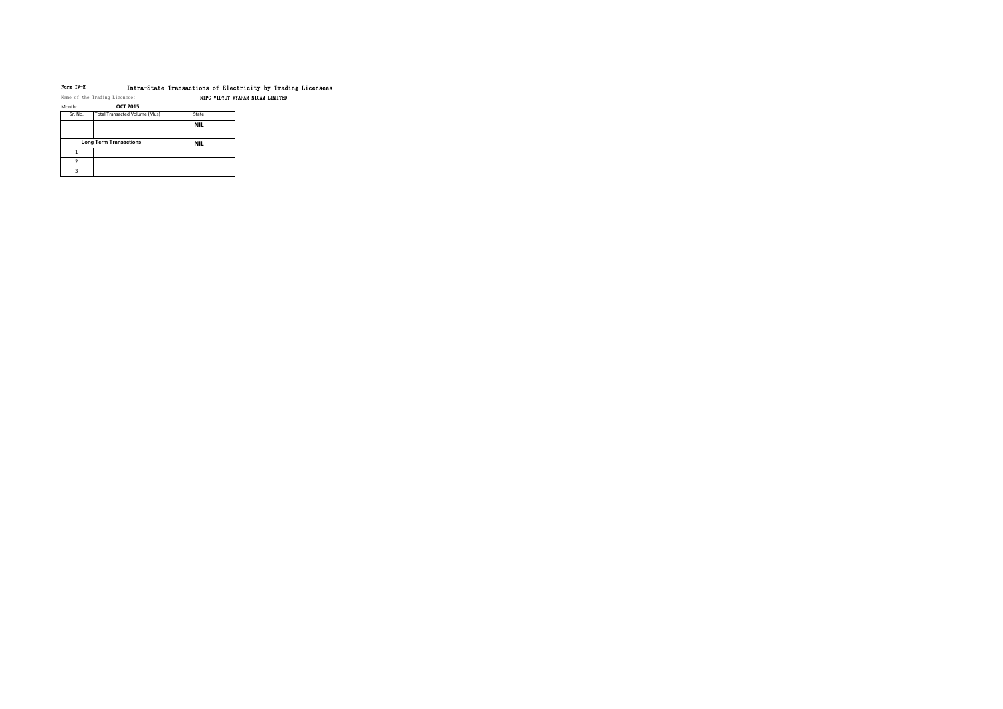# Form IV-E Intra-State Transactions of Electricity by Trading Licensees

Name of the Trading Licensee: NTPC VIDYUT VYAPAR NIGAM LIMITED

Month: **OCT 2015**

| Sr. No. | Total Transacted Volume (Mus) | State      |
|---------|-------------------------------|------------|
|         |                               | <b>NIL</b> |
|         |                               |            |
|         | <b>Long Term Transactions</b> | <b>NIL</b> |
|         |                               |            |
|         |                               |            |
| о       |                               |            |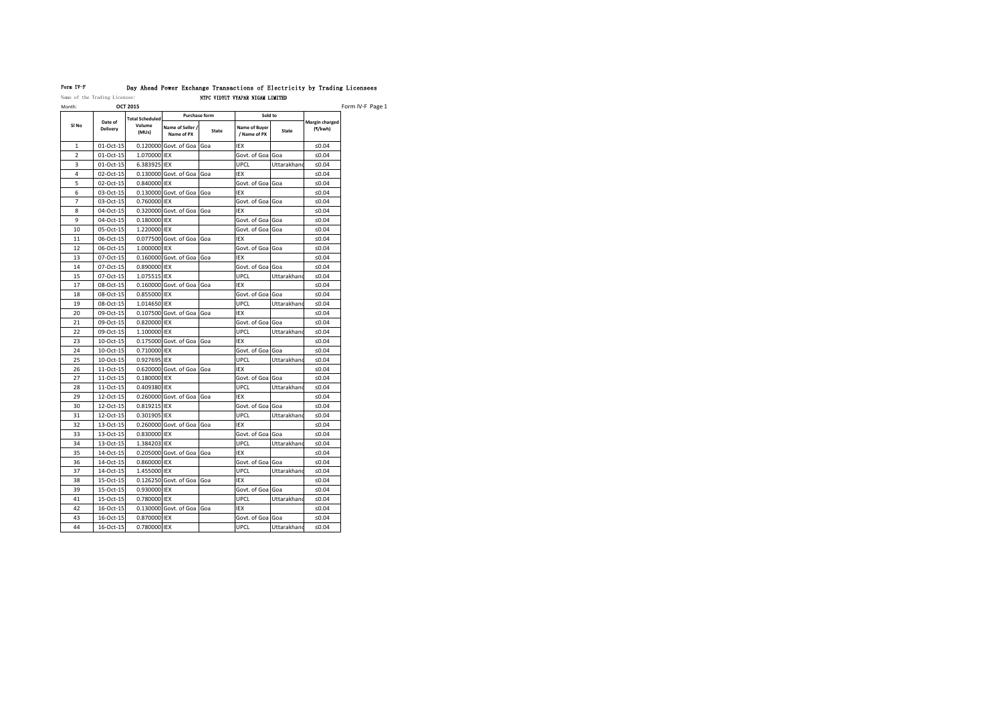| Month:         |                            | <b>OCT 2015</b>        |                                |              |                               | Form IV-F Page 1 |                           |  |  |
|----------------|----------------------------|------------------------|--------------------------------|--------------|-------------------------------|------------------|---------------------------|--|--|
|                |                            | <b>Total Scheduled</b> | <b>Purchase form</b>           |              | Sold to                       |                  |                           |  |  |
| SI No          | Date of<br><b>Delivery</b> | Volume<br>(MUs)        | Name of Seller /<br>Name of PX | <b>State</b> | Name of Buyer<br>/ Name of PX | <b>State</b>     | Margin charged<br>(₹/kwh) |  |  |
| $\mathbf{1}$   | 01-Oct-15                  |                        | 0.120000 Govt. of Goa Goa      |              | <b>IEX</b>                    |                  | ≤ $0.04$                  |  |  |
| $\overline{2}$ | 01-Oct-15                  | 1.070000 IEX           |                                |              | Govt. of Goa Goa              |                  | ≤ $0.04$                  |  |  |
| 3              | 01-Oct-15                  | 6.383925 IEX           |                                |              | <b>UPCL</b>                   | Uttarakhand      | ≤ $0.04$                  |  |  |
| 4              | 02-Oct-15                  |                        | 0.130000 Govt. of Goa          | Goa          | <b>IEX</b>                    |                  | ≤ $0.04$                  |  |  |
| 5              | 02-Oct-15                  | 0.840000 IEX           |                                |              | Govt. of Goa Goa              |                  | ≤ $0.04$                  |  |  |
| 6              | 03-Oct-15                  |                        | 0.130000 Govt. of Goa          | Goa          | IEX                           |                  | ≤ $0.04$                  |  |  |
| $\overline{7}$ | 03-Oct-15                  | 0.760000 IEX           |                                |              | Govt. of Goa Goa              |                  | ≤ $0.04$                  |  |  |
| 8              | 04-Oct-15                  |                        | 0.320000 Govt. of Goa          | Goa          | IEX                           |                  | ≤ $0.04$                  |  |  |
| 9              | 04-Oct-15                  | 0.180000 IEX           |                                |              | Govt. of Goa Goa              |                  | ≤ $0.04$                  |  |  |
| 10             | 05-Oct-15                  | 1.220000 IEX           |                                |              | Govt. of Goa Goa              |                  | ≤ $0.04$                  |  |  |
| 11             | 06-Oct-15                  |                        | 0.077500 Govt. of Goa Goa      |              | <b>IEX</b>                    |                  | ≤ $0.04$                  |  |  |
| 12             | 06-Oct-15                  | 1.000000 IEX           |                                |              | Govt. of Goa Goa              |                  | ≤ $0.04$                  |  |  |
| 13             | 07-Oct-15                  |                        | 0.160000 Govt. of Goa          | Goa          | <b>IEX</b>                    |                  | ≤ $0.04$                  |  |  |
| 14             | 07-Oct-15                  | 0.890000 IEX           |                                |              | Govt. of Goa                  | Goa              | ≤ $0.04$                  |  |  |
| 15             | 07-Oct-15                  | 1.075515 IEX           |                                |              | <b>UPCL</b>                   | Uttarakhand      | ≤ $0.04$                  |  |  |
| 17             | 08-Oct-15                  |                        | $0.160000$ Govt. of Goa Goa    |              | IEX                           |                  | ≤ $0.04$                  |  |  |
| 18             | 08-Oct-15                  | 0.855000 IEX           |                                |              | Govt. of Goa Goa              |                  | ≤ $0.04$                  |  |  |
| 19             | 08-Oct-15                  | 1.014650 IEX           |                                |              | <b>UPCL</b>                   | Uttarakhand      | ≤ $0.04$                  |  |  |
| 20             | 09-Oct-15                  |                        | 0.107500 Govt. of Goa          | Goa          | <b>IEX</b>                    |                  | ≤ $0.04$                  |  |  |
| 21             | 09-Oct-15                  | 0.820000 IEX           |                                |              | Govt. of Goa                  | Goa              | ≤ $0.04$                  |  |  |
| 22             | 09-Oct-15                  | 1.100000 IEX           |                                |              | <b>UPCL</b>                   | Uttarakhand      | ≤ $0.04$                  |  |  |
| 23             | 10-Oct-15                  |                        | $0.175000$ Govt. of Goa Goa    |              | IEX                           |                  | ≤ $0.04$                  |  |  |
| 24             | 10-Oct-15                  | 0.710000 IEX           |                                |              | Govt. of Goa Goa              |                  | ≤ $0.04$                  |  |  |
| 25             | 10-Oct-15                  | 0.927695 IEX           |                                |              | <b>UPCL</b>                   | Uttarakhand      | ≤ $0.04$                  |  |  |
| 26             | 11-Oct-15                  |                        | 0.620000 Govt. of Goa Goa      |              | IEX                           |                  | ≤ $0.04$                  |  |  |
| 27             | 11-Oct-15                  | 0.180000 IEX           |                                |              | Govt. of Goa                  | Goa              | ≤ $0.04$                  |  |  |
| 28             | 11-Oct-15                  | 0.409380 IEX           |                                |              | <b>UPCL</b>                   | Uttarakhand      | ≤ $0.04$                  |  |  |
| 29             | 12-Oct-15                  |                        | 0.260000 Govt. of Goa Goa      |              | IEX                           |                  | $≤0.04$                   |  |  |
| 30             | 12-Oct-15                  | 0.819215 IEX           |                                |              | Govt. of Goa Goa              |                  | ≤ $0.04$                  |  |  |
| 31             | 12-Oct-15                  | 0.301905 IEX           |                                |              | <b>UPCL</b>                   | Uttarakhand      | ≤ $0.04$                  |  |  |
| 32             | 13-Oct-15                  |                        | 0.260000 Govt. of Goa          | Goa          | IEX                           |                  | ≤ $0.04$                  |  |  |
| 33             | 13-Oct-15                  | 0.830000 IEX           |                                |              | Govt. of Goa Goa              |                  | ≤ $0.04$                  |  |  |
| 34             | 13-Oct-15                  | 1.384203 IEX           |                                |              | <b>UPCL</b>                   | Uttarakhand      | $≤0.04$                   |  |  |
| 35             | 14-Oct-15                  |                        | 0.205000 Govt. of Goa          | Goa          | IEX                           |                  | $≤0.04$                   |  |  |
| 36             | 14-Oct-15                  | 0.860000 IEX           |                                |              | Govt. of Goa Goa              |                  | ≤ $0.04$                  |  |  |
| 37             | 14-Oct-15                  | 1.455000 IEX           |                                |              | <b>UPCL</b>                   | Uttarakhand      | ≤ $0.04$                  |  |  |
| 38             | 15-Oct-15                  |                        | 0.126250 Govt. of Goa          | Goa          | IEX                           |                  | ≤ $0.04$                  |  |  |
| 39             | 15-Oct-15                  | 0.930000 IEX           |                                |              | Govt. of Goa Goa              |                  | $≤0.04$                   |  |  |
| 41             | 15-Oct-15                  | 0.780000 IEX           |                                |              | <b>UPCL</b>                   | Uttarakhand      | ≤ $0.04$                  |  |  |
| 42             | 16-Oct-15                  |                        | 0.130000 Govt. of Goa          | <b>Goa</b>   | IEX                           |                  | ≤ $0.04$                  |  |  |
| 43             | 16-Oct-15                  | 0.870000 IEX           |                                |              | Govt. of Goa Goa              |                  | ≤ $0.04$                  |  |  |
| 44             | 16-Oct-15                  | 0.780000 IEX           |                                |              | <b>UPCL</b>                   | Uttarakhand      | $≤0.04$                   |  |  |

## Form IV-F Day Ahead Power Exchange Transactions of Electricity by Trading Licensees Name of the Trading Licensee: NTPC VIDYUT VYAPAR NIGAM LIMITED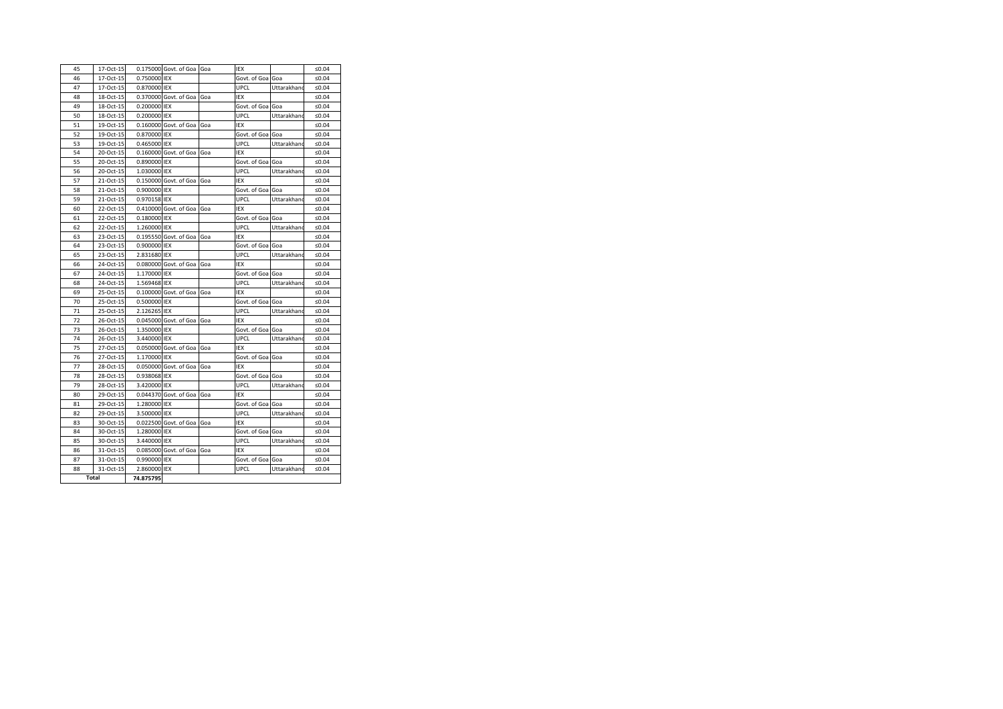| 45 | 17-Oct-15    |              | 0.175000 Govt. of Goa Goa   |     | IEX              |             | ≤ $0.04$ |
|----|--------------|--------------|-----------------------------|-----|------------------|-------------|----------|
| 46 | 17-Oct-15    | 0.750000 IEX |                             |     | Govt. of Goa Goa |             | ≤ $0.04$ |
| 47 | 17-Oct-15    | 0.870000 IEX |                             |     | <b>UPCL</b>      | Uttarakhand | ≤ $0.04$ |
| 48 | 18-Oct-15    |              | 0.370000 Govt. of Goa       | Goa | <b>IEX</b>       |             | ≤ $0.04$ |
| 49 | 18-Oct-15    | 0.200000 IEX |                             |     | Govt. of Goa Goa |             | ≤ $0.04$ |
| 50 | 18-Oct-15    | 0.200000 IEX |                             |     | <b>UPCL</b>      | Uttarakhand | ≤ $0.04$ |
| 51 | 19-Oct-15    |              | $0.160000$ Govt. of Goa     | Goa | IEX              |             | ≤ $0.04$ |
| 52 | 19-Oct-15    | 0.870000 IEX |                             |     | Govt. of Goa Goa |             | ≤ $0.04$ |
| 53 | 19-Oct-15    | 0.465000 IEX |                             |     | <b>UPCL</b>      | Uttarakhand | ≤ $0.04$ |
| 54 | 20-Oct-15    |              | 0.160000 Govt. of Goa       | Goa | IEX              |             | ≤ $0.04$ |
| 55 | 20-Oct-15    | 0.890000 IEX |                             |     | Govt. of Goa Goa |             | ≤ $0.04$ |
| 56 | 20-Oct-15    | 1.030000 IEX |                             |     | <b>UPCL</b>      | Uttarakhand | ≤ $0.04$ |
| 57 | 21-Oct-15    |              | 0.150000 Govt. of Goa       | Goa | IEX              |             | ≤ $0.04$ |
| 58 | 21-Oct-15    | 0.900000 IEX |                             |     | Govt. of Goa Goa |             | ≤ $0.04$ |
| 59 | 21-Oct-15    | 0.970158 IEX |                             |     | <b>UPCL</b>      | Uttarakhand | ≤ $0.04$ |
| 60 | 22-Oct-15    |              | 0.410000 Govt. of Goa       | Goa | IEX              |             | ≤ $0.04$ |
| 61 | 22-Oct-15    | 0.180000 IEX |                             |     | Govt. of Goa Goa |             | ≤ $0.04$ |
| 62 | 22-Oct-15    | 1.260000 IEX |                             |     | <b>UPCL</b>      | Uttarakhand | ≤ $0.04$ |
| 63 | 23-Oct-15    |              | 0.195550 Govt. of Goa       | Goa | IEX              |             | ≤ $0.04$ |
| 64 | 23-Oct-15    | 0.900000 IEX |                             |     | Govt. of Goa Goa |             | $≤0.04$  |
| 65 | 23-Oct-15    | 2.831680 IEX |                             |     | <b>UPCL</b>      | Uttarakhand | ≤ $0.04$ |
| 66 | 24-Oct-15    |              | 0.080000 Govt. of Goa       | Goa | IEX              |             | ≤ $0.04$ |
| 67 | 24-Oct-15    | 1.170000 IEX |                             |     | Govt. of Goa Goa |             | ≤ $0.04$ |
| 68 | 24-Oct-15    | 1.569468 IEX |                             |     | <b>UPCL</b>      | Uttarakhand | ≤ $0.04$ |
| 69 | 25-Oct-15    |              | 0.100000 Govt. of Goa       | Goa | IEX              |             | $≤0.04$  |
| 70 | 25-Oct-15    | 0.500000 IEX |                             |     | Govt. of Goa Goa |             | ≤ $0.04$ |
| 71 | 25-Oct-15    | 2.126265 IEX |                             |     | <b>UPCL</b>      | Uttarakhand | ≤ $0.04$ |
| 72 | 26-Oct-15    |              | 0.045000 Govt. of Goa       | Goa | iex              |             | ≤ $0.04$ |
| 73 | 26-Oct-15    | 1.350000 IEX |                             |     | Govt. of Goa Goa |             | ≤ $0.04$ |
| 74 | 26-Oct-15    | 3.440000 IEX |                             |     | <b>UPCL</b>      | Uttarakhand | ≤ $0.04$ |
| 75 | 27-Oct-15    |              | $0.050000$ Govt. of Goa Goa |     | IEX              |             | ≤ $0.04$ |
| 76 | 27-Oct-15    | 1.170000 IEX |                             |     | Govt. of Goa Goa |             | ≤ $0.04$ |
| 77 | 28-Oct-15    |              | 0.050000 Govt. of Goa       | Goa | IEX              |             | $≤0.04$  |
| 78 | 28-Oct-15    | 0.938068 IEX |                             |     | Govt. of Goa Goa |             | ≤ $0.04$ |
| 79 | 28-Oct-15    | 3.420000 IEX |                             |     | <b>UPCL</b>      | Uttarakhand | ≤ $0.04$ |
| 80 | 29-Oct-15    |              | 0.044370 Govt. of Goa       | Goa | <b>IEX</b>       |             | ≤ $0.04$ |
| 81 | 29-Oct-15    | 1.280000 IEX |                             |     | Govt. of Goa Goa |             | $≤0.04$  |
| 82 | 29-Oct-15    | 3.500000 IEX |                             |     | <b>UPCL</b>      | Uttarakhand | ≤ $0.04$ |
| 83 | 30-Oct-15    |              | $0.022500$ Govt. of Goa     | Goa | IEX              |             | ≤ $0.04$ |
| 84 | 30-Oct-15    | 1.280000 IEX |                             |     | Govt. of Goa Goa |             | $≤0.04$  |
| 85 | 30-Oct-15    | 3.440000 IEX |                             |     | <b>UPCL</b>      | Uttarakhand | ≤ $0.04$ |
| 86 | 31-Oct-15    |              | 0.085000 Govt. of Goa       | Goa | IEX              |             | ≤ $0.04$ |
| 87 | 31-Oct-15    | 0.990000 IEX |                             |     | Govt. of Goa     | Goa         | ≤ $0.04$ |
| 88 | 31-Oct-15    | 2.860000 IEX |                             |     | <b>UPCL</b>      | Uttarakhand | ≤ $0.04$ |
|    | <b>Total</b> | 74.875795    |                             |     |                  |             |          |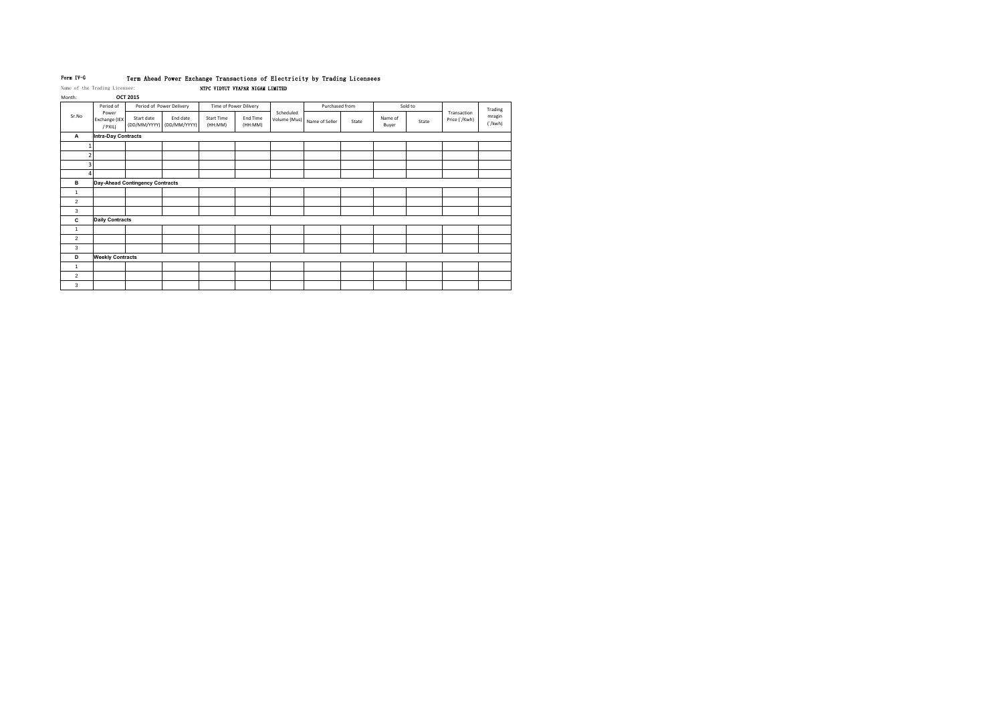## Form IV-G Term Ahead Power Exchange Transactions of Electricity by Trading Licensees Name of the Trading Licensee: NTPC VIDYUT VYAPAR NIGAM LIMITED

Month: **OCT 2015**

|                | Period of                         |                                        | Period of Power Delivery              |                              | Time of Power Dilivery |                           | Purchased from |       |                  | Sold to |                              | Trading           |
|----------------|-----------------------------------|----------------------------------------|---------------------------------------|------------------------------|------------------------|---------------------------|----------------|-------|------------------|---------|------------------------------|-------------------|
| Sr.No          | Power<br>Exchange (IEX<br>/ PXIL) | Start date                             | End date<br>(DD/MM/YYYY) (DD/MM/YYYY) | <b>Start Time</b><br>(HH:MM) | End Time<br>(HH:MM)    | Scheduled<br>Volume (Mus) | Name of Seller | State | Name of<br>Buyer | State   | Transaction<br>Price ('/Kwh) | mragin<br>('/kwh) |
| A              | <b>Intra-Day Contracts</b>        |                                        |                                       |                              |                        |                           |                |       |                  |         |                              |                   |
|                |                                   |                                        |                                       |                              |                        |                           |                |       |                  |         |                              |                   |
|                |                                   |                                        |                                       |                              |                        |                           |                |       |                  |         |                              |                   |
|                |                                   |                                        |                                       |                              |                        |                           |                |       |                  |         |                              |                   |
|                |                                   |                                        |                                       |                              |                        |                           |                |       |                  |         |                              |                   |
| в              |                                   | <b>Day-Ahead Contingency Contracts</b> |                                       |                              |                        |                           |                |       |                  |         |                              |                   |
| $\overline{1}$ |                                   |                                        |                                       |                              |                        |                           |                |       |                  |         |                              |                   |
| $\overline{2}$ |                                   |                                        |                                       |                              |                        |                           |                |       |                  |         |                              |                   |
| 3              |                                   |                                        |                                       |                              |                        |                           |                |       |                  |         |                              |                   |
| C              | <b>Daily Contracts</b>            |                                        |                                       |                              |                        |                           |                |       |                  |         |                              |                   |
| $\mathbf{1}$   |                                   |                                        |                                       |                              |                        |                           |                |       |                  |         |                              |                   |
| $\overline{c}$ |                                   |                                        |                                       |                              |                        |                           |                |       |                  |         |                              |                   |
| 3              |                                   |                                        |                                       |                              |                        |                           |                |       |                  |         |                              |                   |
| D              | <b>Weekly Contracts</b>           |                                        |                                       |                              |                        |                           |                |       |                  |         |                              |                   |
| $\mathbf{1}$   |                                   |                                        |                                       |                              |                        |                           |                |       |                  |         |                              |                   |
| $\overline{2}$ |                                   |                                        |                                       |                              |                        |                           |                |       |                  |         |                              |                   |
| 3              |                                   |                                        |                                       |                              |                        |                           |                |       |                  |         |                              |                   |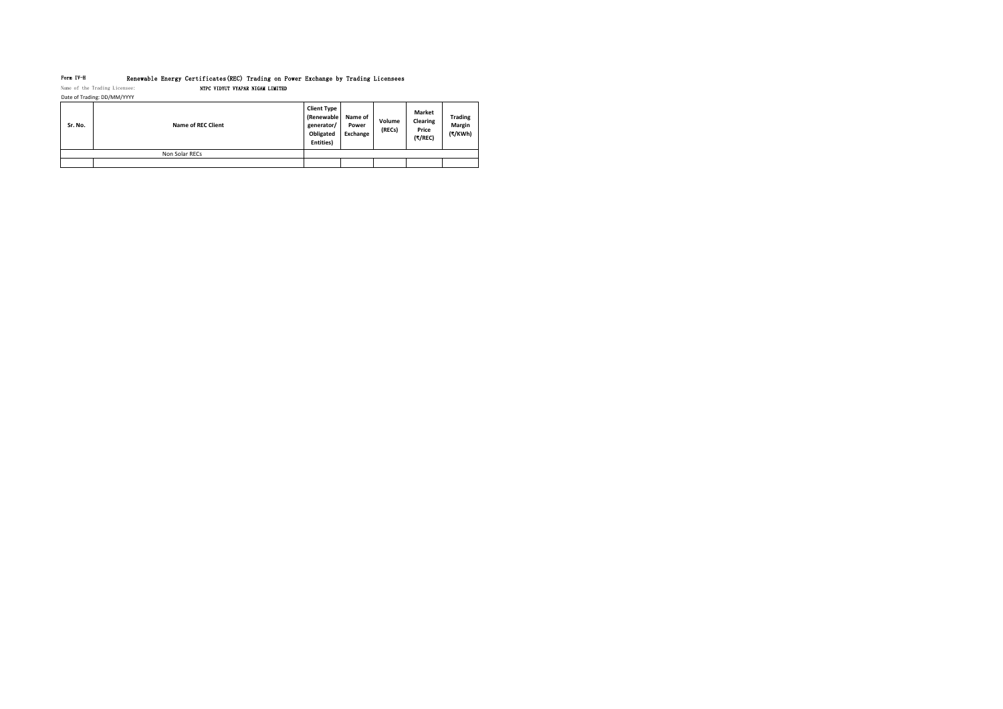# Form IV-H Renewable Energy Certificates(REC) Trading on Power Exchange by Trading Licensees Name of the Trading Licensee: NTPC VIDYUT VYAPAR NIGAM LIMITED

| Date of Trading: DD/MM/YYYY |  |
|-----------------------------|--|
|                             |  |

| Sr. No. | <b>Name of REC Client</b> | <b>Client Type</b><br>(Renewable)<br>generator/<br>Obligated<br>Entities) | Name of<br>Power<br>Exchange | Volume<br>(RECs) | <b>Market</b><br><b>Clearing</b><br><b>Price</b><br>(₹/REC) | <b>Trading</b><br><b>Margin</b><br>(₹/KWh) |
|---------|---------------------------|---------------------------------------------------------------------------|------------------------------|------------------|-------------------------------------------------------------|--------------------------------------------|
|         | Non Solar RECs            |                                                                           |                              |                  |                                                             |                                            |
|         |                           |                                                                           |                              |                  |                                                             |                                            |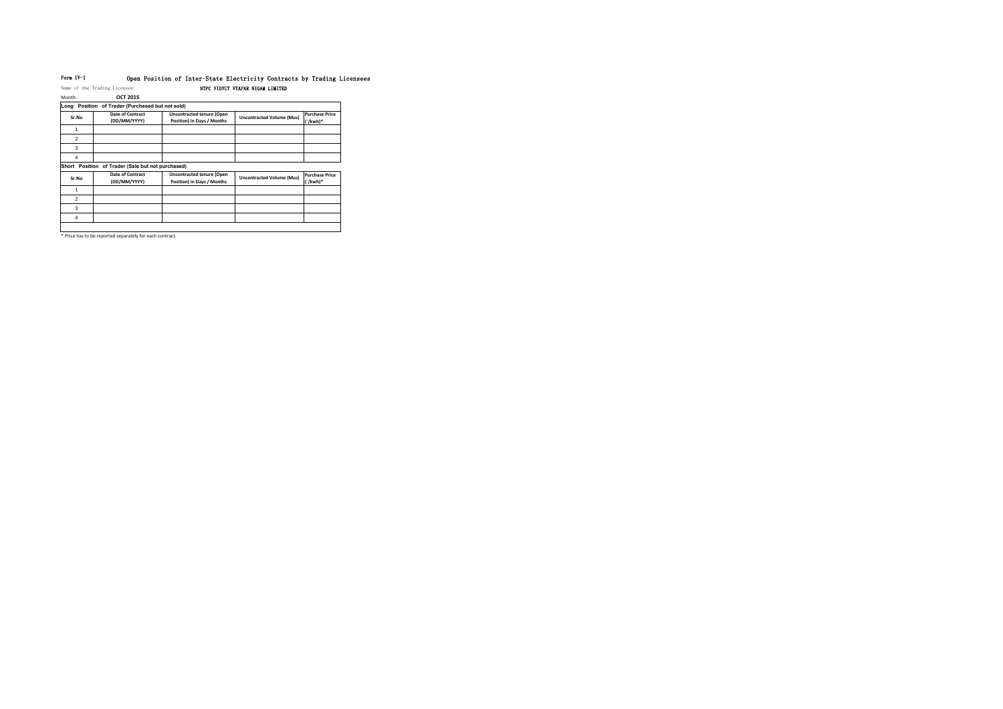## Form IV-I Open Position of Inter-State Electricity Contracts by Trading Licensees Name of the Trading Licensee: NTPC VIDYUT VYAPAR NIGAM LIMITED

Month: **OCT 2015**

| Long Position of Trader (Purchased but not sold)            |                                         |                                                                |                                  |                                   |  |  |  |  |
|-------------------------------------------------------------|-----------------------------------------|----------------------------------------------------------------|----------------------------------|-----------------------------------|--|--|--|--|
| Sr.No                                                       | <b>Date of Contract</b><br>(DD/MM/YYYY) | <b>Uncontracted tenure (Open</b><br>Position) in Days / Months | <b>Uncontracted Volume (Mus)</b> | <b>Purchase Price</b><br>(`/kwh)* |  |  |  |  |
|                                                             |                                         |                                                                |                                  |                                   |  |  |  |  |
| 2                                                           |                                         |                                                                |                                  |                                   |  |  |  |  |
| 3                                                           |                                         |                                                                |                                  |                                   |  |  |  |  |
| 4                                                           |                                         |                                                                |                                  |                                   |  |  |  |  |
| <b>Short</b><br>Position of Trader (Sale but not purchased) |                                         |                                                                |                                  |                                   |  |  |  |  |
| Sr.No                                                       | <b>Date of Contract</b><br>(DD/MM/YYYY) | <b>Uncontracted tenure (Open</b><br>Position) in Days / Months | <b>Uncontracted Volume (Mus)</b> | <b>Purchase Price</b><br>(`/kwh)* |  |  |  |  |
|                                                             |                                         |                                                                |                                  |                                   |  |  |  |  |
| $\overline{2}$                                              |                                         |                                                                |                                  |                                   |  |  |  |  |
| 3                                                           |                                         |                                                                |                                  |                                   |  |  |  |  |
| 4                                                           |                                         |                                                                |                                  |                                   |  |  |  |  |
|                                                             |                                         |                                                                |                                  |                                   |  |  |  |  |

\* Price has to be reported separately for each contract.